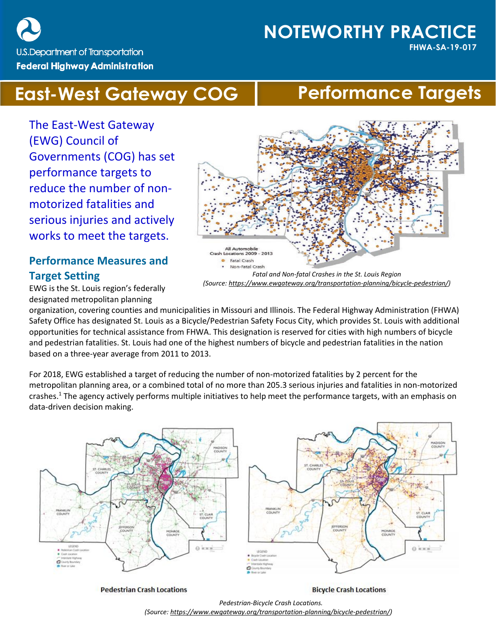U.S. Department of Transportation **Federal Highway Administration** 

# **NOTEWORTHY PRACTICE**

**FHWA-SA-19-017**

# **East-West Gateway COG | Performance Targets**

The East-West Gateway (EWG) Council of Governments (COG) has set performance targets to reduce the number of nonmotorized fatalities and serious injuries and actively works to meet the targets.

## **Performance Measures and Target Setting**

EWG is the St. Louis region's federally designated metropolitan planning

organization, covering counties and municipalities in Missouri and Illinois. The Federal Highway Administration (FHWA) Safety Office has designated St. Louis as a Bicycle/Pedestrian Safety Focus City, which provides St. Louis with additional opportunities for technical assistance from FHWA. This designation is reserved for cities with high numbers of bicycle and pedestrian fatalities. St. Louis had one of the highest numbers of bicycle and pedestrian fatalities in the nation based on a three-year average from 2011 to 2013.

For 2018, EWG established a target of reducing the number of non-motorized fatalities by 2 percent for the metropolitan planning area, or a combined total of no more than 205.3 serious injuries and fatalities in non-motorized crashes. <sup>1</sup> The agency actively performs multiple initiatives to help meet the performance targets, with an emphasis on data-driven decision making.



**Pedestrian Crash Locations** 

**Bicycle Crash Locations** 

*Pedestrian-Bicycle Crash Locations. (Source[: https://www.ewgateway.org/transportation-planning/bicycle-pedestrian/\)](https://www.ewgateway.org/transportation-planning/bicycle-pedestrian/)*